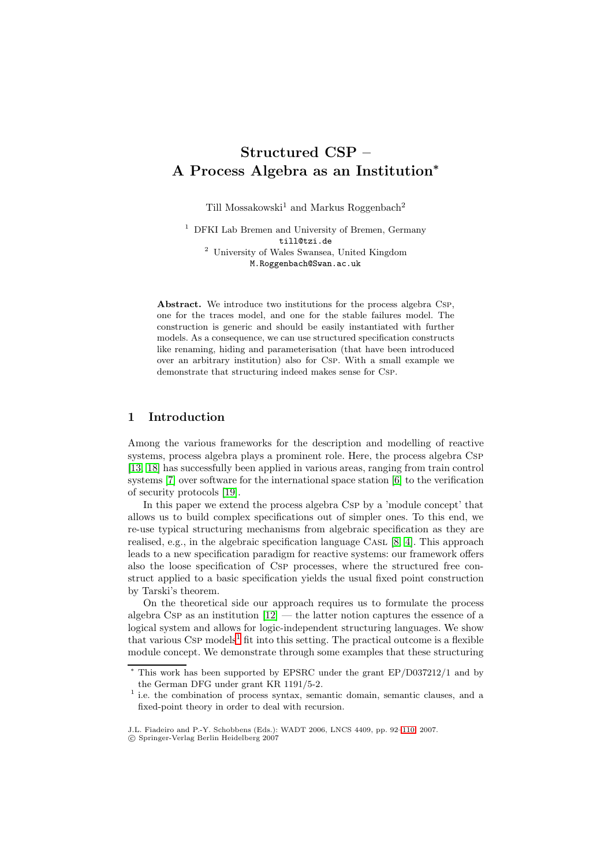# **Structured CSP – A Process Algebra as an Institution***<sup>∗</sup>*

Till Mossakowski<sup>1</sup> and Markus Roggenbach<sup>2</sup>

<sup>1</sup> DFKI Lab Bremen and University of Bremen, Germany till@tzi.de <sup>2</sup> University of Wales Swansea, United Kingdom M.Roggenbach@Swan.ac.uk

Abstract. We introduce two institutions for the process algebra Csp, one for the traces model, and one for the stable failures model. The construction is generic and should be easily instantiated with further models. As a consequence, we can use structured specification constructs like renaming, hiding and parameterisation (that have been introduced over an arbitrary institution) also for Csp. With a small example we demonstrate that structuring indeed makes sense for Csp.

# **1 Introduction**

Among the various frameworks for the description and modelling of reactive systems, process algebra plays a prominent role. Here, the process algebra Csp [\[13,](#page-18-0) [18\]](#page-18-1) has successfully been applied in various areas, ranging from train control systems [\[7\]](#page-18-2) over software for the international space station [\[6\]](#page-18-3) to the verification of security protocols [\[19\]](#page-18-4).

In this paper we extend the process algebra Csp by a 'module concept' that allows us to build complex specifications out of simpler ones. To this end, we re-use typical structuring mechanisms from algebraic specification as they are realised, e.g., in the algebraic specification language CASL [\[8,](#page-18-5) [4\]](#page-17-0). This approach leads to a new specification paradigm for reactive systems: our framework offers also the loose specification of Csp processes, where the structured free construct applied to a basic specification yields the usual fixed point construction by Tarski's theorem.

On the theoretical side our approach requires us to formulate the process algebra Csp as an institution  $[12]$  — the latter notion captures the essence of a logical system and allows for logic-independent structuring languages. We show that various  $CSP$  models<sup>[1](#page-0-0)</sup> fit into this setting. The practical outcome is a flexible module concept. We demonstrate through some examples that these structuring

This work has been supported by EPSRC under the grant EP/D037212/1 and by the German DFG under grant KR 1191/5-2.

<span id="page-0-0"></span><sup>&</sup>lt;sup>1</sup> i.e. the combination of process syntax, semantic domain, semantic clauses, and a fixed-point theory in order to deal with recursion.

J.L. Fiadeiro and P.-Y. Schobbens (Eds.): WADT 2006, LNCS 4409, pp. 92[–110,](#page-17-1) 2007.

<sup>-</sup>c Springer-Verlag Berlin Heidelberg 2007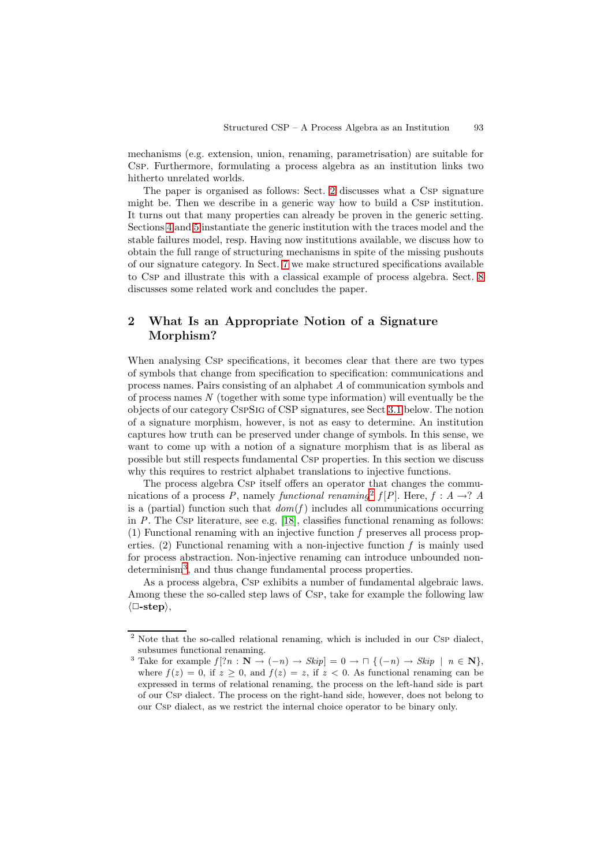mechanisms (e.g. extension, union, renaming, parametrisation) are suitable for Csp. Furthermore, formulating a process algebra as an institution links two hitherto unrelated worlds.

The paper is organised as follows: Sect. [2](#page-1-0) discusses what a Csp signature might be. Then we describe in a generic way how to build a Csp institution. It turns out that many properties can already be proven in the generic setting. Sections [4](#page-9-0) and [5](#page-10-0) instantiate the generic institution with the traces model and the stable failures model, resp. Having now institutions available, we discuss how to obtain the full range of structuring mechanisms in spite of the missing pushouts of our signature category. In Sect. [7](#page-13-0) we make structured specifications available to Csp and illustrate this with a classical example of process algebra. Sect. [8](#page-17-2) discusses some related work and concludes the paper.

# <span id="page-1-0"></span>**2 What Is an Appropriate Notion of a Signature Morphism?**

When analysing CSP specifications, it becomes clear that there are two types of symbols that change from specification to specification: communications and process names. Pairs consisting of an alphabet A of communication symbols and of process names  $N$  (together with some type information) will eventually be the objects of our category CspSig of CSP signatures, see Sect [3.1](#page-3-0) below. The notion of a signature morphism, however, is not as easy to determine. An institution captures how truth can be preserved under change of symbols. In this sense, we want to come up with a notion of a signature morphism that is as liberal as possible but still respects fundamental Csp properties. In this section we discuss why this requires to restrict alphabet translations to injective functions.

The process algebra Csp itself offers an operator that changes the commu-nications of a process P, namely functional renaming<sup>[2](#page-1-1)</sup> f[P]. Here,  $f : A \rightarrow ? A$ is a (partial) function such that  $dom(f)$  includes all communications occurring in P. The Csp literature, see e.g. [\[18\]](#page-18-1), classifies functional renaming as follows:  $(1)$  Functional renaming with an injective function f preserves all process properties. (2) Functional renaming with a non-injective function  $f$  is mainly used for process abstraction. Non-injective renaming can introduce unbounded nondeterminism[3](#page-1-2), and thus change fundamental process properties.

As a process algebra, Csp exhibits a number of fundamental algebraic laws. Among these the so-called step laws of Csp, take for example the following law  $\langle \Box\text{-step} \rangle$ ,

<span id="page-1-1"></span><sup>2</sup> Note that the so-called relational renaming, which is included in our Csp dialect, subsumes functional renaming.

<span id="page-1-2"></span><sup>&</sup>lt;sup>3</sup> Take for example  $f[?n : \mathbf{N} \to (-n) \to Skip] = 0 \to \Box$  {  $(-n) \to Skip$  |  $n \in \mathbf{N}$ }, where  $f(z) = 0$ , if  $z > 0$ , and  $f(z) = z$ , if  $z < 0$ . As functional renaming can be expressed in terms of relational renaming, the process on the left-hand side is part of our Csp dialect. The process on the right-hand side, however, does not belong to our Csp dialect, as we restrict the internal choice operator to be binary only.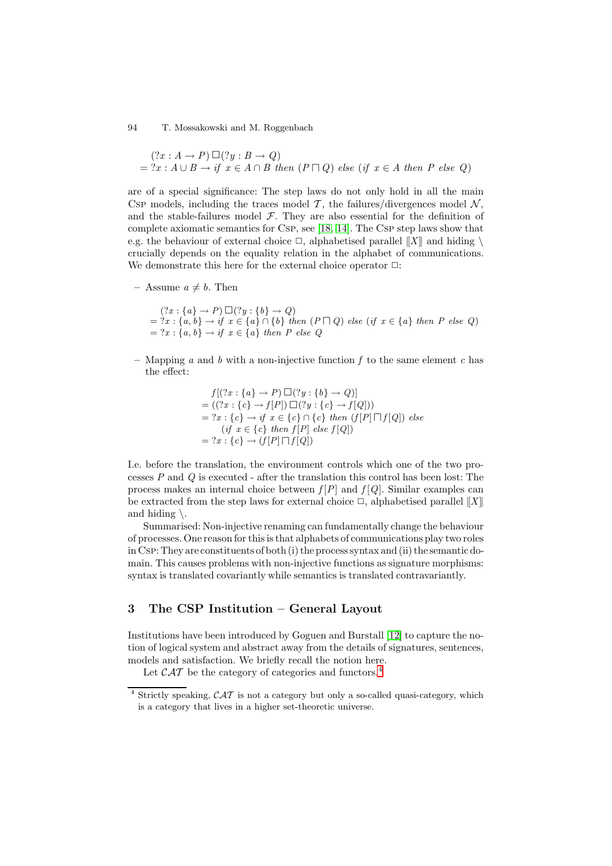$$
(?x : A \to P) \square (?y : B \to Q)
$$
  
= ?x : A \cup B \to if x \in A \cap B then (P \sqcap Q) else (if x \in A then P else Q)

are of a special significance: The step laws do not only hold in all the main Csp models, including the traces model  $\mathcal{T}$ , the failures/divergences model  $\mathcal{N}$ , and the stable-failures model  $\mathcal F$ . They are also essential for the definition of complete axiomatic semantics for Csp, see [\[18,](#page-18-1) [14\]](#page-18-7). The Csp step laws show that e.g. the behaviour of external choice  $\Box$ , alphabetised parallel  $||X||$  and hiding  $\setminus$ crucially depends on the equality relation in the alphabet of communications. We demonstrate this here for the external choice operator  $\Box$ :

- $-$  Assume  $a \neq b$ . Then
	- $(?x : \{a\} \to P) \square (?y : \{b\} \to Q)$  $=$  ?x : {a, b}  $\rightarrow$  if  $x \in \{a\} \cap \{b\}$  then  $(P \sqcap Q)$  else (if  $x \in \{a\}$  then P else Q)  $=$  ?x : {a, b}  $\rightarrow$  if  $x \in \{a\}$  then P else Q
- $-$  Mapping a and b with a non-injective function f to the same element c has the effect:

$$
f[(?x: {a} \rightarrow P) \square (?y: {b} \rightarrow Q)]
$$
  
= ((?x: {c} \rightarrow f[P]) \square (?y: {c} \rightarrow f[Q]))  
= ?x: {c} \rightarrow if x \in {c} \cap {c} then (f[P] \sqcap f[Q]) else  
(if x \in {c} then f[P] else f[Q])  
= ?x: {c} \rightarrow (f[P] \sqcap f[Q])

I.e. before the translation, the environment controls which one of the two processes  $P$  and  $Q$  is executed - after the translation this control has been lost: The process makes an internal choice between  $f[P]$  and  $f[Q]$ . Similar examples can be extracted from the step laws for external choice  $\Box$ , alphabetised parallel  $||X||$ and hiding  $\mathcal{L}$ .

Summarised: Non-injective renaming can fundamentally change the behaviour of processes.One reasonfor this is that alphabets ofcommunications play two roles in Csp: They are constituents of both (i) the process syntax and (ii) the semantic domain. This causes problems with non-injective functions as signature morphisms: syntax is translated covariantly while semantics is translated contravariantly.

## **3 The CSP Institution – General Layout**

Institutions have been introduced by Goguen and Burstall [\[12\]](#page-18-6) to capture the notion of logical system and abstract away from the details of signatures, sentences, models and satisfaction. We briefly recall the notion here.

Let  $\mathcal{CAT}$  be the category of categories and functors.<sup>[4](#page-2-0)</sup>

<span id="page-2-0"></span>Strictly speaking,  $CAT$  is not a category but only a so-called quasi-category, which is a category that lives in a higher set-theoretic universe.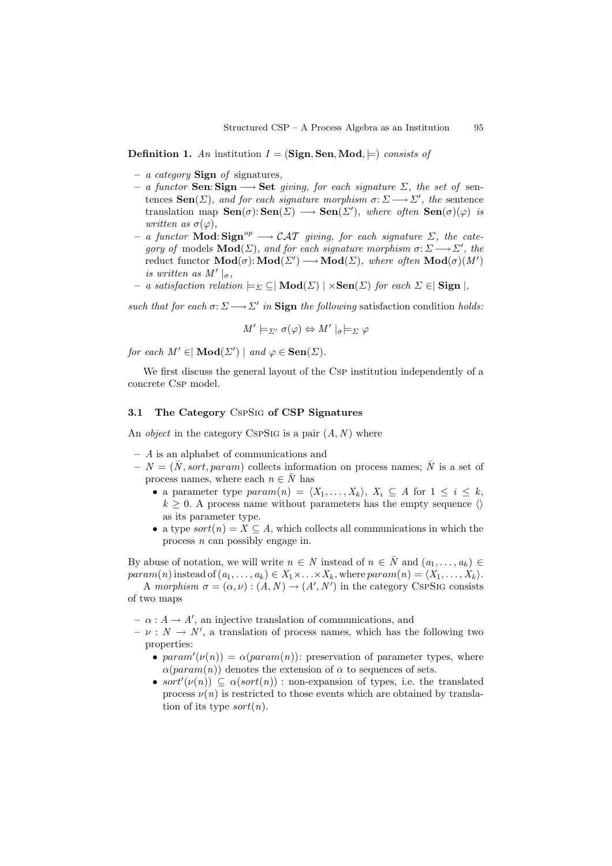**Definition 1.** An institution  $I = (\textbf{Sign}, \textbf{Sen}, \textbf{Mod}, \models)$  consists of

- **–** a category **Sign** of signatures,
- $− a function$  **Sen**: **Sign**  $→$  **Set** giving, for each signature  $Σ$ , the set of sentences **Sen**( $\Sigma$ ), and for each signature morphism  $\sigma: \Sigma \longrightarrow \Sigma'$ , the sentence translation map  $\textbf{Sen}(\sigma)$ :  $\textbf{Sen}(\Sigma) \longrightarrow \textbf{Sen}(\Sigma')$ , where often  $\textbf{Sen}(\sigma)(\varphi)$  is written as  $\sigma(\varphi)$ ,
- $-$  a functor **Mod**: **Sign**<sup>op</sup> → CAT giving, for each signature  $\Sigma$ , the category of models  $\text{Mod}(\Sigma)$ , and for each signature morphism  $\sigma: \Sigma \longrightarrow \Sigma'$ , the reduct functor  $\mathbf{Mod}(\sigma)$ :  $\mathbf{Mod}(\Sigma') \longrightarrow \mathbf{Mod}(\Sigma)$ , where often  $\mathbf{Mod}(\sigma)(M')$ is written as  $M' |_{\sigma}$ ,
- **–** a satisfaction relation |=<sup>Σ</sup> ⊆| **Mod**(Σ) | ×**Sen**(Σ) for each Σ ∈| **Sign** |,

such that for each  $\sigma: \Sigma \longrightarrow \Sigma'$  in **Sign** the following satisfaction condition holds:

$$
M' \models_{\Sigma'} \sigma(\varphi) \Leftrightarrow M' \mid_{\sigma} \models_{\Sigma} \varphi
$$

for each  $M' \in |\mathbf{Mod}(\Sigma')|$  and  $\varphi \in \mathbf{Sen}(\Sigma)$ .

We first discuss the general layout of the Csp institution independently of a concrete Csp model.

### <span id="page-3-0"></span>**3.1 The Category** CspSig **of CSP Signatures**

An *object* in the category CSPSIG is a pair  $(A, N)$  where

- **–** A is an alphabet of communications and
- $N = (\bar{N}, sort, param)$  collects information on process names;  $\bar{N}$  is a set of process names, where each  $n \in \overline{N}$  has
	- a parameter type  $param(n) = \langle X_1, \ldots, X_k \rangle$ ,  $X_i \subseteq A$  for  $1 \leq i \leq k$ ,  $k \geq 0$ . A process name without parameters has the empty sequence  $\langle \rangle$ as its parameter type.
	- a type  $sort(n) = X \subseteq A$ , which collects all communications in which the process n can possibly engage in.

By abuse of notation, we will write  $n \in N$  instead of  $n \in \overline{N}$  and  $(a_1, \ldots, a_k) \in$  $param(n)$  instead of  $(a_1, \ldots, a_k) \in X_1 \times \ldots \times X_k$ , where  $param(n) = \langle X_1, \ldots, X_k \rangle$ .

A morphism  $\sigma = (\alpha, \nu) : (A, N) \to (A', N')$  in the category CSPSIG consists of two maps

- $-\alpha: A \to A'$ , an injective translation of communications, and
- $-\nu : N \to N'$ , a translation of process names, which has the following two properties:
	- $param'(\nu(n)) = \alpha(param(n))$ : preservation of parameter types, where α(param(n)) denotes the extension of α to sequences of sets.
	- sort<sup>'</sup>( $\nu(n)$ )  $\subseteq \alpha(\text{sort}(n))$ : non-expansion of types, i.e. the translated process  $\nu(n)$  is restricted to those events which are obtained by translation of its type  $sort(n)$ .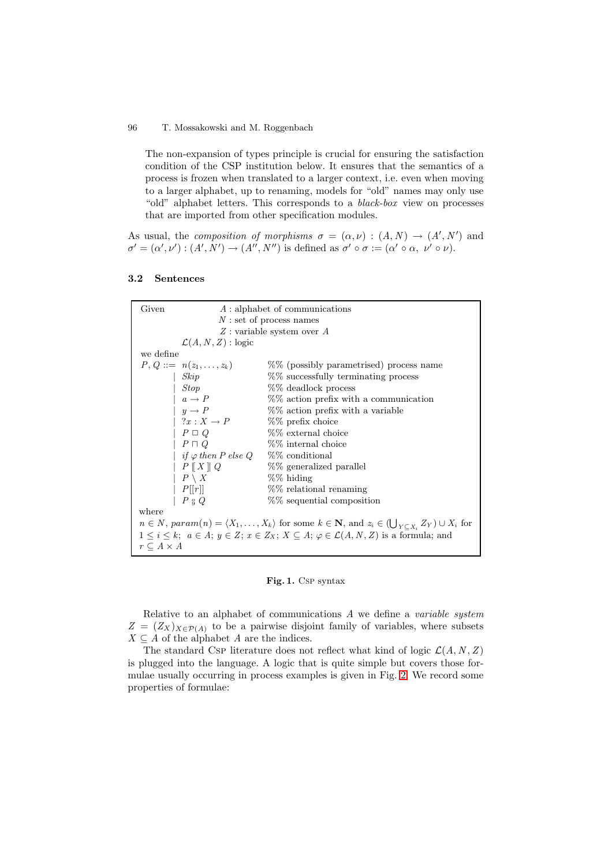The non-expansion of types principle is crucial for ensuring the satisfaction condition of the CSP institution below. It ensures that the semantics of a process is frozen when translated to a larger context, i.e. even when moving to a larger alphabet, up to renaming, models for "old" names may only use "old" alphabet letters. This corresponds to a black-box view on processes that are imported from other specification modules.

As usual, the *composition of morphisms*  $\sigma = (\alpha, \nu) : (A, N) \rightarrow (A', N')$  and  $\sigma' = (\alpha', \nu') : (A', N') \to (A'', N'')$  is defined as  $\sigma' \circ \sigma := (\alpha' \circ \alpha, \nu' \circ \nu)$ .

## **3.2 Sentences**

| Given                                                                                                                                               | $A:$ alphabet of communications                                                                         |                                         |  |  |  |
|-----------------------------------------------------------------------------------------------------------------------------------------------------|---------------------------------------------------------------------------------------------------------|-----------------------------------------|--|--|--|
|                                                                                                                                                     | $N:$ set of process names                                                                               |                                         |  |  |  |
|                                                                                                                                                     | $Z$ : variable system over $A$                                                                          |                                         |  |  |  |
|                                                                                                                                                     | $\mathcal{L}(A, N, Z)$ : logic                                                                          |                                         |  |  |  |
| we define                                                                                                                                           |                                                                                                         |                                         |  |  |  |
|                                                                                                                                                     | $P, Q ::= n(z_1, \ldots, z_k)$                                                                          | %% (possibly parametrised) process name |  |  |  |
|                                                                                                                                                     |                                                                                                         | %% successfully terminating process     |  |  |  |
|                                                                                                                                                     |                                                                                                         | %% deadlock process                     |  |  |  |
|                                                                                                                                                     | $\begin{array}{c}\n\therefore up \\ \mid & Stop \\ \mid & a \rightarrow P \\ \mid & y = 1\n\end{array}$ | %% action prefix with a communication   |  |  |  |
|                                                                                                                                                     | $ y \rightarrow P$                                                                                      | %% action prefix with a variable        |  |  |  |
|                                                                                                                                                     | $ ?x:X\rightarrow P$                                                                                    | %% prefix choice                        |  |  |  |
|                                                                                                                                                     | $\mid P \square Q$                                                                                      | $%$ external choice                     |  |  |  |
|                                                                                                                                                     | $P \sqcap Q$                                                                                            | %% internal choice                      |  |  |  |
|                                                                                                                                                     | $\int$ if $\varphi$ then P else Q %% conditional                                                        |                                         |  |  |  |
|                                                                                                                                                     | $\mid P[[X]]Q$                                                                                          | %% generalized parallel                 |  |  |  |
|                                                                                                                                                     | $\mid P \setminus X$                                                                                    | %% hiding                               |  |  |  |
|                                                                                                                                                     | P  r                                                                                                    | %% relational renaming                  |  |  |  |
|                                                                                                                                                     | P S Q                                                                                                   | %% sequential composition               |  |  |  |
| where                                                                                                                                               |                                                                                                         |                                         |  |  |  |
| $n \in N$ , param $(n) = \langle X_1, \ldots, X_k \rangle$ for some $k \in \mathbb{N}$ , and $z_i \in (\bigcup_{Y \subseteq X_i} Z_Y) \cup X_i$ for |                                                                                                         |                                         |  |  |  |
| $1 \leq i \leq k$ ; $a \in A$ ; $y \in Z$ ; $x \in Z$ ; $X \subseteq A$ ; $\varphi \in \mathcal{L}(A, N, Z)$ is a formula; and                      |                                                                                                         |                                         |  |  |  |
| $r \subseteq A \times A$                                                                                                                            |                                                                                                         |                                         |  |  |  |

#### <span id="page-4-0"></span>**Fig. 1.** Csp syntax

Relative to an alphabet of communications A we define a variable system  $Z = (Z_X)_{X \in \mathcal{P}(A)}$  to be a pairwise disjoint family of variables, where subsets  $X \subseteq A$  of the alphabet A are the indices.

The standard Csp literature does not reflect what kind of logic  $\mathcal{L}(A, N, Z)$ is plugged into the language. A logic that is quite simple but covers those formulae usually occurring in process examples is given in Fig. [2.](#page-5-0) We record some properties of formulae: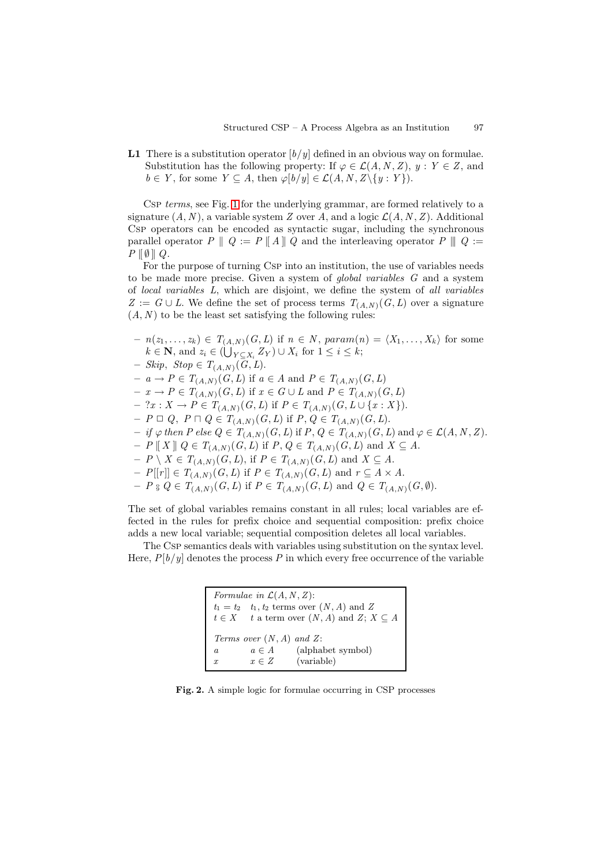**L1** There is a substitution operator  $\left[\frac{b}{y}\right]$  defined in an obvious way on formulae. Substitution has the following property: If  $\varphi \in \mathcal{L}(A, N, Z), y : Y \in Z$ , and  $b \in Y$ , for some  $Y \subseteq A$ , then  $\varphi[b/y] \in \mathcal{L}(A, N, Z \setminus \{y : Y\}).$ 

Csp terms, see Fig. [1](#page-4-0) for the underlying grammar, are formed relatively to a signature  $(A, N)$ , a variable system Z over A, and a logic  $\mathcal{L}(A, N, Z)$ . Additional Csp operators can be encoded as syntactic sugar, including the synchronous parallel operator P  $\parallel Q := P \parallel A \parallel Q$  and the interleaving operator P  $\parallel Q :=$  $P \parallel \emptyset \parallel Q$ .

For the purpose of turning Csp into an institution, the use of variables needs to be made more precise. Given a system of global variables G and a system of local variables L, which are disjoint, we define the system of all variables  $Z := G \cup L$ . We define the set of process terms  $T_{(A,N)}(G, L)$  over a signature  $(A, N)$  to be the least set satisfying the following rules:

- $− n(z_1,..., z_k) ∈ T_{(A,N)}(G, L)$  if  $n ∈ N$ , param $(n) = \langle X_1,..., X_k \rangle$  for some  $k \in \mathbf{N}$ , and  $z_i \in (\bigcup_{Y \subseteq X_i} Z_Y) \cup X_i$  for  $1 \leq i \leq k$ ;
- $-$  Skip, Stop  $\in T_{(A,N)}(\overline{G},L).$
- $a \rightarrow P \in T_{(A,N)}(G, L)$  if  $a \in A$  and  $P \in T_{(A,N)}(G, L)$
- $x \to P \in T_{(A,N)}(G, L)$  if  $x \in G \cup L$  and  $P \in T_{(A,N)}(G, L)$
- $-$  ?x : *X* → *P* ∈  $T_{(A,N)}(G, L)$  if *P* ∈  $T_{(A,N)}(G, L \cup \{x : X\}).$
- $P ⊔ Q$ ,  $P ⊓ Q ∈ T_{(A,N)}(G, L)$  if  $P, Q ∈ T_{(A,N)}(G, L)$ .
- **–** if  $\varphi$  then P else  $Q \in T_{(A,N)}(G, L)$  if P,  $Q \in T_{(A,N)}(G, L)$  and  $\varphi \in \mathcal{L}(A, N, Z)$ .
- $P [[X]] Q ∈ T_{(A,N)}(G, L)$  if  $P, Q ∈ T_{(A,N)}(G, L)$  and  $X ⊆ A$ .
- $P \setminus X \in T_{(A,N)}(G, L)$ , if  $P \in T_{(A,N)}(G, L)$  and  $X \subseteq A$ .
- $P[[r]] \in T_{(A,N)}(G, L)$  if  $P \in T_{(A,N)}(G, L)$  and  $r \subseteq A \times A$ .
- $P_{9}^{\circ} Q \in T_{(A,N)}(G, L)$  if  $P \in T_{(A,N)}(G, L)$  and  $Q \in T_{(A,N)}(G, ∅).$

The set of global variables remains constant in all rules; local variables are effected in the rules for prefix choice and sequential composition: prefix choice adds a new local variable; sequential composition deletes all local variables.

The Csp semantics deals with variables using substitution on the syntax level. Here,  $P[b/y]$  denotes the process P in which every free occurrence of the variable

> Formulae in  $\mathcal{L}(A, N, Z)$ :  $t_1 = t_2 \quad t_1, t_2 \text{ terms over } (N, A) \text{ and } Z$  $t \in X$  t a term over  $(N, A)$  and  $Z; X \subseteq A$ Terms over  $(N, A)$  and Z: a  $a \in A$  (alphabet symbol)  $x \in Z$  (variable)

<span id="page-5-0"></span>**Fig. 2.** A simple logic for formulae occurring in CSP processes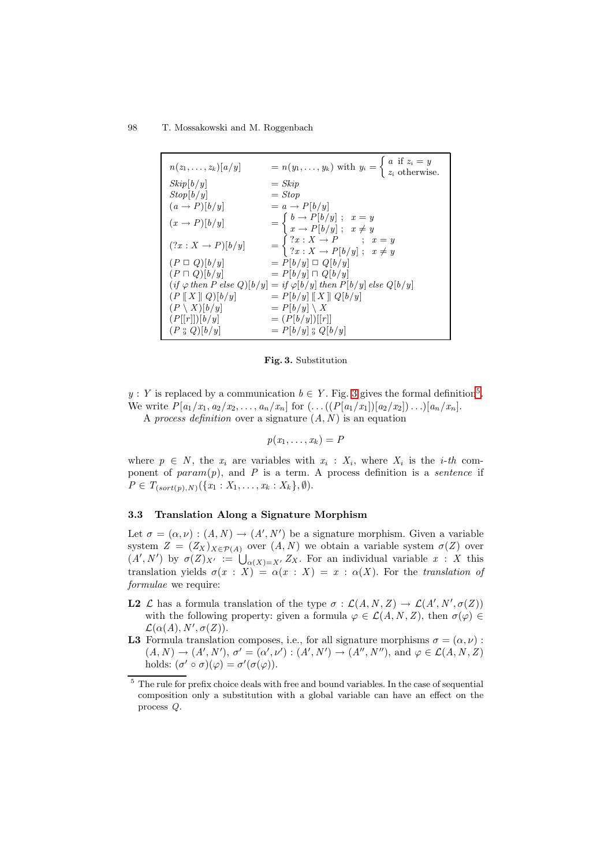| $n(z_1,\ldots,z_k) a/y $           | $= n(y_1, \ldots, y_k)$ with $y_i = \begin{cases} a & \text{if } z_i = y \\ z_i & \text{otherwise.} \end{cases}$ |
|------------------------------------|------------------------------------------------------------------------------------------------------------------|
| skip b/y                           | $=$ Skip                                                                                                         |
| Stop b/y                           | $= Stop$                                                                                                         |
| $(a \rightarrow P)[b/y]$           | $= a \rightarrow P[b/y]$                                                                                         |
| $(x \rightarrow P)[b/y]$           | $= \begin{cases} b \rightarrow P[b/y] ; & x = y \\ x \rightarrow P[b/y] ; & x \neq y \end{cases}$                |
| $(?x:X\rightarrow P)[b/y]$         | $= \begin{cases} ?x : X \to P & ; x = y \\ ?x : X \to P[b/y] ; x \neq y \end{cases}$                             |
| $(P \square Q)[b/y]$               | $= P[b/y] \sqcup Q[b/y]$                                                                                         |
| $(P\sqcap Q)[b/y]$                 | $= P[b/y] \sqcap Q[b/y]$                                                                                         |
|                                    | $(if \varphi \, then \, P \, else \, Q) b/y  = if \varphi[b/y] \, then \, P[b/y] \, else \, Q[b/y]$              |
| $(P \parallel X \parallel Q)[b/y]$ | $= P[b/y]$ $\parallel X \parallel Q[b/y]$                                                                        |
| $(P \setminus X)[b/y]$             | $= P[b/y] \setminus X$                                                                                           |
| (P[ r ]) b/y                       | $= (P[b/y])[[r]]$                                                                                                |
| $(P \circ Q)[b/y]$                 | $= P[b/y]$ a $Q[b/y]$                                                                                            |

<span id="page-6-0"></span>**Fig. 3.** Substitution

y : Y is replaced by a communication  $b \in Y$ . Fig. [3](#page-6-0) gives the formal definition<sup>[5](#page-6-1)</sup>. We write  $P[a_1/x_1, a_2/x_2,..., a_n/x_n]$  for  $(...((P[a_1/x_1])[a_2/x_2])...) [a_n/x_n]$ . A process definition over a signature  $(A, N)$  is an equation

$$
p(x_1,\ldots,x_k)=P
$$

where  $p \in N$ , the  $x_i$  are variables with  $x_i : X_i$ , where  $X_i$  is the *i-th* component of  $param(p)$ , and P is a term. A process definition is a *sentence* if  $P \in T_{(sort(p), N)}(\{x_1 : X_1, \ldots, x_k : X_k\}, \emptyset).$ 

## **3.3 Translation Along a Signature Morphism**

Let  $\sigma = (\alpha, \nu) : (A, N) \to (A', N')$  be a signature morphism. Given a variable system  $Z = (Z_X)_{X \in \mathcal{P}(A)}$  over  $(A, N)$  we obtain a variable system  $\sigma(Z)$  over  $(A', N')$  by  $\sigma(Z)_{X'} := \bigcup_{\alpha(X)=X'} Z_X$ . For an individual variable  $x : X$  this translation yields  $\sigma(x : X) = \alpha(x : X) = x : \alpha(X)$ . For the translation of formulae we require:

- **L2** L has a formula translation of the type  $\sigma : \mathcal{L}(A, N, Z) \to \mathcal{L}(A', N', \sigma(Z))$ with the following property: given a formula  $\varphi \in \mathcal{L}(A, N, Z)$ , then  $\sigma(\varphi) \in$  $\mathcal{L}(\alpha(A),N',\sigma(Z)).$
- **L3** Formula translation composes, i.e., for all signature morphisms  $\sigma = (\alpha, \nu)$ :  $(A, N) \rightarrow (A', N'), \sigma' = (\alpha', \nu'): (A', N') \rightarrow (A'', N''), \text{ and } \varphi \in \mathcal{L}(A, N, Z)$ holds:  $(\sigma' \circ \sigma)(\varphi) = \sigma'(\sigma(\varphi)).$

<span id="page-6-1"></span><sup>5</sup> The rule for prefix choice deals with free and bound variables. In the case of sequential composition only a substitution with a global variable can have an effect on the process Q.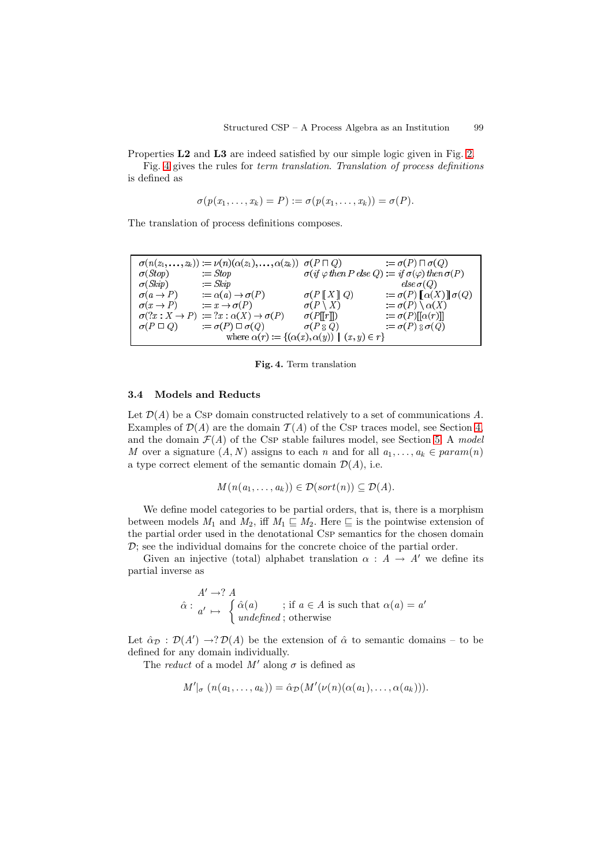Properties **L2** and **L3** are indeed satisfied by our simple logic given in Fig. [2.](#page-5-0)

Fig. [4](#page-7-0) gives the rules for term translation. Translation of process definitions is defined as

$$
\sigma(p(x_1,\ldots,x_k)=P):=\sigma(p(x_1,\ldots,x_k))=\sigma(P).
$$

The translation of process definitions composes.

|                                                                   | $\sigma(n(z_1,\ldots,z_k)) := \nu(n)(\alpha(z_1),\ldots,\alpha(z_k)) \sigma(P \sqcap Q)$ |                                       | $:= \sigma(P) \sqcap \sigma(Q)$                                                       |  |  |
|-------------------------------------------------------------------|------------------------------------------------------------------------------------------|---------------------------------------|---------------------------------------------------------------------------------------|--|--|
| $\sigma(Stop)$                                                    | $:= Stop$                                                                                |                                       | $\sigma(i f \varphi) then P \, else Q) := if \, \sigma(\varphi) \, then \, \sigma(P)$ |  |  |
| $\sigma(Skip)$                                                    | $:=$ Skip                                                                                |                                       | $else \sigma(Q)$                                                                      |  |  |
| $\sigma(a \rightarrow P)$                                         | $:= \alpha(a) \rightarrow \sigma(P)$                                                     | $\sigma(P \llbracket X \rrbracket Q)$ | $:= \sigma(P) \llbracket \alpha(X) \rrbracket \sigma(Q)$                              |  |  |
| $\sigma(x \rightarrow P)$                                         | $:= x \rightarrow \sigma(P)$                                                             | $\sigma(P\setminus X)$                | $:= \sigma(P) \setminus \alpha(X)$                                                    |  |  |
|                                                                   | $\sigma(?x:X\to P) := ?x:\alpha(X)\to \sigma(P)$                                         | $\sigma(P[[r]])$                      | $:= \sigma(P)[[\alpha(r)]]$                                                           |  |  |
| $\sigma(P \sqcup Q)$                                              | $:= \sigma(P) \square \sigma(Q)$                                                         | $\sigma(P \otimes Q)$                 | $:= \sigma(P) \otimes \sigma(Q)$                                                      |  |  |
| where $\alpha(r) := \{(\alpha(x), \alpha(y)) \mid (x, y) \in r\}$ |                                                                                          |                                       |                                                                                       |  |  |

<span id="page-7-0"></span>**Fig. 4.** Term translation

#### **3.4 Models and Reducts**

Let  $\mathcal{D}(A)$  be a Csp domain constructed relatively to a set of communications A. Examples of  $\mathcal{D}(A)$  are the domain  $\mathcal{T}(A)$  of the Csp traces model, see Section [4,](#page-9-0) and the domain  $\mathcal{F}(A)$  of the Csp stable failures model, see Section [5.](#page-10-0) A model M over a signature  $(A, N)$  assigns to each n and for all  $a_1, \ldots, a_k \in param(n)$ a type correct element of the semantic domain  $\mathcal{D}(A)$ , i.e.

$$
M(n(a_1,\ldots,a_k)) \in \mathcal{D}(sort(n)) \subseteq \mathcal{D}(A).
$$

We define model categories to be partial orders, that is, there is a morphism between models  $M_1$  and  $M_2$ , iff  $M_1 \sqsubseteq M_2$ . Here  $\sqsubseteq$  is the pointwise extension of the partial order used in the denotational Csp semantics for the chosen domain  $D$ ; see the individual domains for the concrete choice of the partial order.

Given an injective (total) alphabet translation  $\alpha : A \rightarrow A'$  we define its partial inverse as

$$
\hat{\alpha} : \begin{array}{l} A' \to ? \ A \\ a' \mapsto \begin{cases} \hat{\alpha}(a) \\ undefined \end{cases}; \text{ if } a \in A \text{ is such that } \alpha(a) = a' \end{array}
$$

Let  $\hat{\alpha}_{\mathcal{D}} : \mathcal{D}(A') \to \mathcal{D}(A)$  be the extension of  $\hat{\alpha}$  to semantic domains – to be defined for any domain individually.

The *reduct* of a model  $M'$  along  $\sigma$  is defined as

$$
M'|_{\sigma}(n(a_1,\ldots,a_k))=\hat{\alpha}_{\mathcal{D}}(M'(\nu(n)(\alpha(a_1),\ldots,\alpha(a_k))).
$$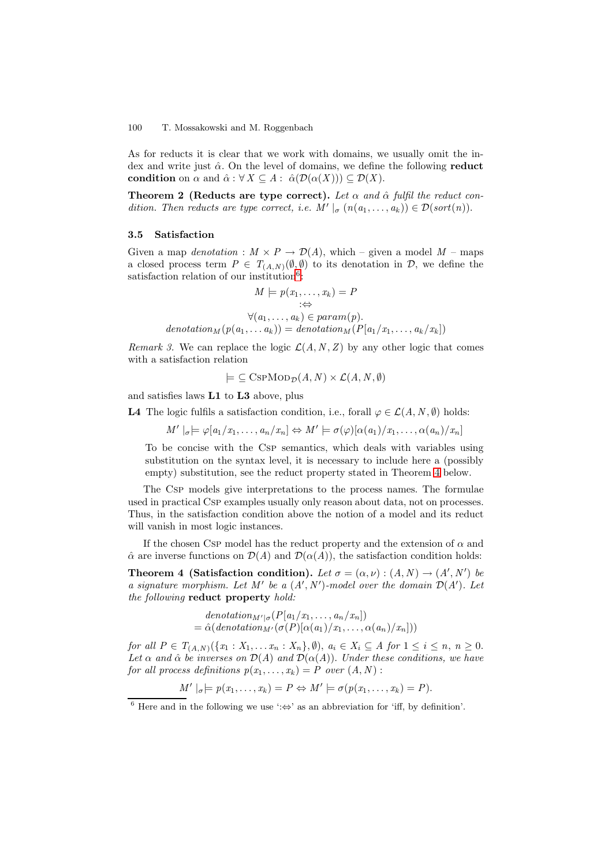As for reducts it is clear that we work with domains, we usually omit the index and write just  $\hat{\alpha}$ . On the level of domains, we define the following **reduct condition** on  $\alpha$  and  $\hat{\alpha}$  :  $\forall X \subseteq A$  :  $\hat{\alpha}(\mathcal{D}(\alpha(X))) \subseteq \mathcal{D}(X)$ .

**Theorem 2 (Reducts are type correct).** Let  $\alpha$  and  $\hat{\alpha}$  fulfil the reduct condition. Then reducts are type correct, i.e.  $M' \mid_{\sigma} (n(a_1,\ldots,a_k)) \in \mathcal{D}(sort(n)).$ 

#### **3.5 Satisfaction**

Given a map *denotation* :  $M \times P \rightarrow \mathcal{D}(A)$ , which – given a model  $M$  – maps a closed process term  $P \in T_{(A,N)}(\emptyset, \emptyset)$  to its denotation in  $\mathcal{D}$ , we define the satisfaction relation of our institution<sup>[6](#page-8-0)</sup>:

$$
M \models p(x_1, \dots, x_k) = P
$$
  
\n
$$
\Leftrightarrow
$$
  
\n
$$
\forall (a_1, \dots, a_k) \in param(p).
$$
  
\n
$$
denotation_M(p(a_1, \dots, a_k)) = denotation_M(P[a_1/x_1, \dots, a_k/x_k])
$$

Remark 3. We can replace the logic  $\mathcal{L}(A, N, Z)$  by any other logic that comes with a satisfaction relation

 $\models \subseteq \text{CSPMOD}_{\mathcal{D}}(A, N) \times \mathcal{L}(A, N, \emptyset)$ 

and satisfies laws **L1** to **L3** above, plus

**L4** The logic fulfils a satisfaction condition, i.e., forall  $\varphi \in \mathcal{L}(A, N, \emptyset)$  holds:

 $M' \mid_{\sigma} \models \varphi[a_1/x_1,\ldots,a_n/x_n] \Leftrightarrow M' \models \sigma(\varphi)[\alpha(a_1)/x_1,\ldots,\alpha(a_n)/x_n]$ 

To be concise with the Csp semantics, which deals with variables using substitution on the syntax level, it is necessary to include here a (possibly empty) substitution, see the reduct property stated in Theorem [4](#page-8-1) below.

The Csp models give interpretations to the process names. The formulae used in practical Csp examples usually only reason about data, not on processes. Thus, in the satisfaction condition above the notion of a model and its reduct will vanish in most logic instances.

<span id="page-8-1"></span>If the chosen Csp model has the reduct property and the extension of  $\alpha$  and  $\hat{\alpha}$  are inverse functions on  $\mathcal{D}(A)$  and  $\mathcal{D}(\alpha(A))$ , the satisfaction condition holds:

**Theorem 4 (Satisfaction condition).** Let  $\sigma = (\alpha, \nu) : (A, N) \rightarrow (A', N')$  be a signature morphism. Let M' be a  $(A', N')$ -model over the domain  $\mathcal{D}(A')$ . Let the following **reduct property** hold:

denotationM- <sup>|</sup><sup>σ</sup>(P[a1/x1,..., an/xn]) = ˆα(denotationM-(σ(P)[α(a1)/x1,...,α(a<sup>n</sup> )/xn]))

for all  $P \in T_{(A,N)}(\{x_1 : X_1, \ldots x_n : X_n\}, \emptyset), a_i \in X_i \subseteq A$  for  $1 \le i \le n, n \ge 0$ . Let  $\alpha$  and  $\hat{\alpha}$  be inverses on  $\mathcal{D}(A)$  and  $\mathcal{D}(\alpha(A))$ . Under these conditions, we have for all process definitions  $p(x_1,...,x_k) = P$  over  $(A, N)$ :

 $M' \mid_{\sigma} \models p(x_1,\ldots,x_k) = P \Leftrightarrow M' \models \sigma(p(x_1,\ldots,x_k) = P).$ 

<span id="page-8-0"></span><sup>&</sup>lt;sup>6</sup> Here and in the following we use ': $\Leftrightarrow$ ' as an abbreviation for 'iff, by definition'.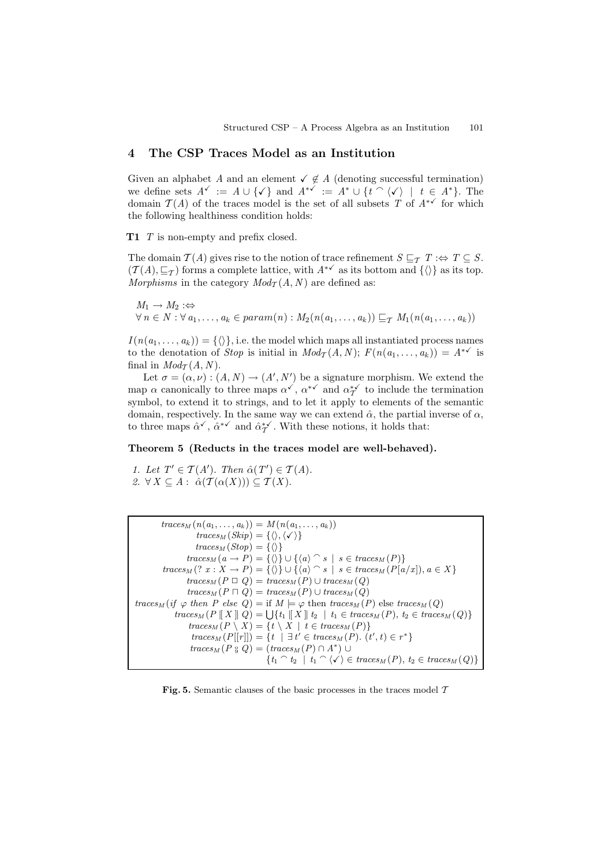# <span id="page-9-0"></span>**4 The CSP Traces Model as an Institution**

Given an alphabet A and an element  $\checkmark \notin A$  (denoting successful termination) we define sets  $A^{\checkmark} := A \cup {\checkmark}$  and  $A^{*\checkmark} := A^* \cup {\check{t} \cap \langle \checkmark \rangle \mid t \in A^*}.$  The domain  $\mathcal{T}(A)$  of the traces model is the set of all subsets T of  $A^{*\checkmark}$  for which the following healthiness condition holds:

**T1** T is non-empty and prefix closed.

The domain  $\mathcal{T}(A)$  gives rise to the notion of trace refinement  $S \sqsubseteq_{\mathcal{T}} T : \Leftrightarrow T \subseteq S$ .  $(\mathcal{T}(A), \sqsubseteq_{\mathcal{T}})$  forms a complete lattice, with  $A^{*\checkmark}$  as its bottom and  $\{\langle\rangle\}$  as its top. Morphisms in the category  $Mod_{\mathcal{T}}(A, N)$  are defined as:

 $M_1 \rightarrow M_2 : \Leftrightarrow$  $\forall n \in N : \forall a_1, \ldots, a_k \in param(n) : M_2(n(a_1, \ldots, a_k)) \sqsubseteq_{\mathcal{T}} M_1(n(a_1, \ldots, a_k))$ 

 $I(n(a_1,\ldots,a_k)) = \{\langle\rangle\},\text{ i.e. the model which maps all instantiated process names}\$ to the denotation of *Stop* is initial in  $Mod_{\mathcal{T}}(A, N)$ ;  $F(n(a_1, ..., a_k)) = A^{*\checkmark}$  is final in  $Mod_{\mathcal{T}}(A, N)$ .

Let  $\sigma = (\alpha, \nu) : (A, N) \to (A', N')$  be a signature morphism. We extend the map  $\alpha$  canonically to three maps  $\alpha^{\checkmark}$ ,  $\alpha^{*\checkmark}$  and  $\alpha^{*\checkmark}_{\mathcal{T}}$  to include the termination symbol, to extend it to strings, and to let it apply to elements of the semantic domain, respectively. In the same way we can extend  $\hat{\alpha}$ , the partial inverse of  $\alpha$ , to three maps  $\hat{\alpha}^{\checkmark}$ ,  $\hat{\alpha}^{*\checkmark}$  and  $\hat{\alpha}^{*\checkmark}_{\mathcal{T}}$ . With these notions, it holds that:

#### **Theorem 5 (Reducts in the traces model are well-behaved).**

1. Let  $T' \in \mathcal{T}(A')$ . Then  $\hat{\alpha}(T') \in \mathcal{T}(A)$ . 2.  $\forall X \subseteq A : \hat{\alpha}(\mathcal{T}(\alpha(X))) \subseteq \mathcal{T}(X)$ .

 $traces_M(n(a_1,..., a_k)) = M(n(a_1,..., a_k))$  $traces_M(skip) = \{\langle \rangle, \langle \checkmark \rangle\}$  $traces_M (Stop) = {\langle} \langle \rangle$  $traces_M (a \rightarrow P) = \{ \langle \rangle \} \cup \{ \langle a \rangle \cap s \mid s \in traces_M (P) \}$  $traces_M(? x : X \to P) = \{\langle\rangle\} \cup \{\langle a \rangle \cap s \mid s \in traces_M(P[a/x]), a \in X\}$  $traces_M(P \sqcup Q) = traces_M(P) \cup traces_M(Q)$  $traces_M(P \sqcap Q) = trace_{M}(P) \cup trace_{M}(Q)$  $traces_M (if \varphi) then P else Q) = if M \models \varphi$  then  $traces_M(P)$  else  $traces_M(Q)$  $traces_M(P \mid X \mid Q) = \bigcup \{ t_1 \mid X \mid t_2 \mid t_1 \in traces_M(P), t_2 \in traces_M(Q) \}$  $traces_M(P \setminus X) = \{t \setminus X \mid t \in traces_M(P)\}\$  $traces_M(P[[r]]) = \{ t \mid \exists t' \in traces_M(P). (t', t) \in r^* \}$  $traces_M(P \overset{\circ}{g} Q) = (traces_M(P) \cap A^*) \cup$  $\{t_1 \cap t_2 \mid t_1 \cap \langle \checkmark \rangle \in \text{traces}_M(P), t_2 \in \text{traces}_M(Q)\}\$ 

<span id="page-9-1"></span>**Fig. 5.** Semantic clauses of the basic processes in the traces model  $T$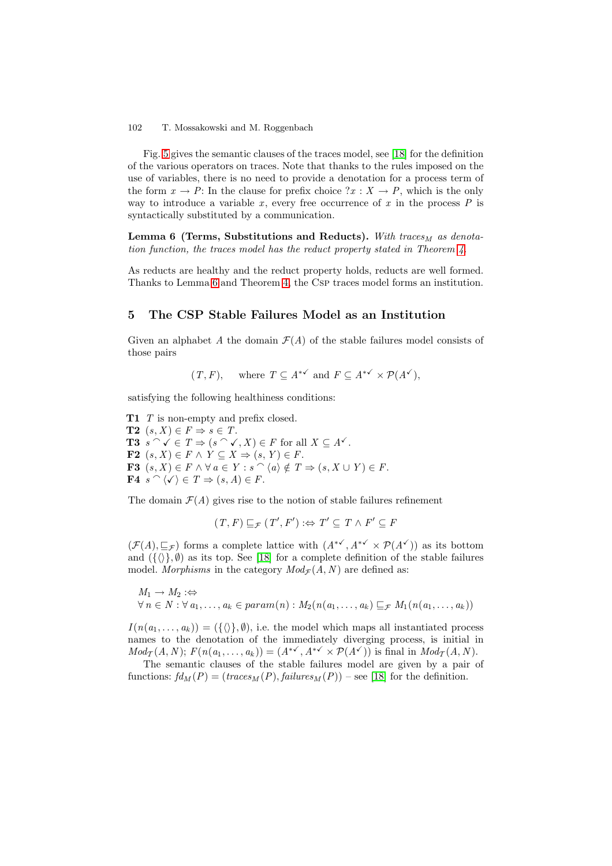Fig. [5](#page-9-1) gives the semantic clauses of the traces model, see [\[18\]](#page-18-1) for the definition of the various operators on traces. Note that thanks to the rules imposed on the use of variables, there is no need to provide a denotation for a process term of the form  $x \to P$ : In the clause for prefix choice  $?x : X \to P$ , which is the only way to introduce a variable x, every free occurrence of x in the process  $P$  is syntactically substituted by a communication.

<span id="page-10-1"></span>**Lemma 6 (Terms, Substitutions and Reducts).** With traces<sub>M</sub> as denotation function, the traces model has the reduct property stated in Theorem [4.](#page-8-1)

As reducts are healthy and the reduct property holds, reducts are well formed. Thanks to Lemma [6](#page-10-1) and Theorem [4,](#page-8-1) the Csp traces model forms an institution.

## <span id="page-10-0"></span>**5 The CSP Stable Failures Model as an Institution**

Given an alphabet A the domain  $\mathcal{F}(A)$  of the stable failures model consists of those pairs

 $(T, F)$ , where  $T \subseteq A^{*\checkmark}$  and  $F \subseteq A^{*\checkmark} \times \mathcal{P}(A^{\checkmark})$ ,

satisfying the following healthiness conditions:

**T1** T is non-empty and prefix closed. **T2**  $(s, X) \in F \Rightarrow s \in T$ . **T3**  $s \cap \checkmark \in T \Rightarrow (s \cap \checkmark, X) \in F$  for all  $X \subseteq A^{\checkmark}$ . **F2**  $(s, X)$  ∈  $F \wedge Y$  ⊆  $X \Rightarrow (s, Y)$  ∈  $F$ . **F3**  $(s, X) \in F \land \forall a \in Y : s \cap \langle a \rangle \notin T \Rightarrow (s, X \cup Y) \in F.$ **F4**  $s \cap \langle \checkmark \rangle \in T \Rightarrow (s, A) \in F$ .

The domain  $\mathcal{F}(A)$  gives rise to the notion of stable failures refinement

$$
(T, F) \sqsubseteq_{\mathcal{F}} (T', F') : \Leftrightarrow T' \subseteq T \wedge F' \subseteq F
$$

 $(\mathcal{F}(A), \sqsubseteq_{\mathcal{F}})$  forms a complete lattice with  $(A^{*\checkmark}, A^{*\checkmark} \times \mathcal{P}(A^{\checkmark}))$  as its bottom and  $({\{\langle}\rangle}, \emptyset)$  as its top. See [\[18\]](#page-18-1) for a complete definition of the stable failures model. Morphisms in the category  $Mod_{\mathcal{F}}(A, N)$  are defined as:

 $M_1 \rightarrow M_2 : \Leftrightarrow$  $\forall n \in N : \forall a_1, \ldots, a_k \in param(n) : M_2(n(a_1, \ldots, a_k) \sqsubset_{\mathcal{F}} M_1(n(a_1, \ldots, a_k))$ 

 $I(n(a_1,..., a_k)) = (\{\langle\rangle\}, \emptyset)$ , i.e. the model which maps all instantiated process names to the denotation of the immediately diverging process, is initial in  $Mod_{\mathcal{T}}(A, N); F(n(a_1, \ldots, a_k)) = (A^{*\checkmark}, A^{*\checkmark} \times \mathcal{P}(A^{\checkmark}))$  is final in  $Mod_{\mathcal{T}}(A, N)$ .

The semantic clauses of the stable failures model are given by a pair of functions:  $fd_M(P)=(traces_M(P), failures_M(P))$  – see [\[18\]](#page-18-1) for the definition.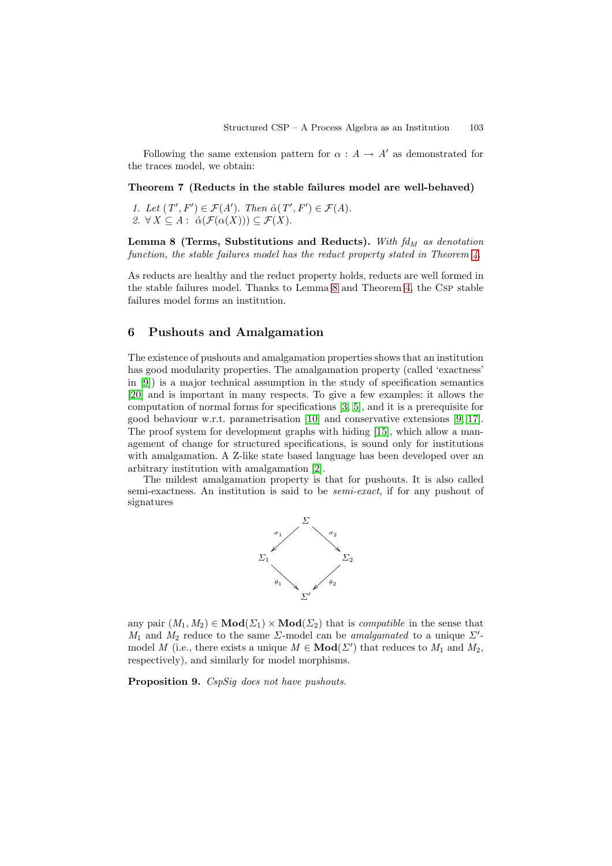Following the same extension pattern for  $\alpha : A \rightarrow A'$  as demonstrated for the traces model, we obtain:

## **Theorem 7 (Reducts in the stable failures model are well-behaved)**

1. Let  $(T', F') \in \mathcal{F}(A')$ . Then  $\hat{\alpha}(T', F') \in \mathcal{F}(A)$ . 2.  $\forall X \subseteq A : \hat{\alpha}(\mathcal{F}(\alpha(X))) \subseteq \mathcal{F}(X)$ .

<span id="page-11-0"></span>**Lemma 8 (Terms, Substitutions and Reducts).** With  $fd_M$  as denotation function, the stable failures model has the reduct property stated in Theorem [4.](#page-8-1)

As reducts are healthy and the reduct property holds, reducts are well formed in the stable failures model. Thanks to Lemma [8](#page-11-0) and Theorem [4,](#page-8-1) the Csp stable failures model forms an institution.

## <span id="page-11-1"></span>**6 Pushouts and Amalgamation**

The existence of pushouts and amalgamation properties shows that an institution has good modularity properties. The amalgamation property (called 'exactness' in [\[9\]](#page-18-8)) is a major technical assumption in the study of specification semantics [\[20\]](#page-18-9) and is important in many respects. To give a few examples: it allows the computation of normal forms for specifications [\[3,](#page-17-3) [5\]](#page-17-4), and it is a prerequisite for good behaviour w.r.t. parametrisation [\[10\]](#page-18-10) and conservative extensions [\[9,](#page-18-8) [17\]](#page-18-11). The proof system for development graphs with hiding [\[15\]](#page-18-12), which allow a management of change for structured specifications, is sound only for institutions with amalgamation. A Z-like state based language has been developed over an arbitrary institution with amalgamation [\[2\]](#page-17-5).

The mildest amalgamation property is that for pushouts. It is also called semi-exactness. An institution is said to be semi-exact, if for any pushout of signatures



any pair  $(M_1, M_2) \in \text{Mod}(\Sigma_1) \times \text{Mod}(\Sigma_2)$  that is *compatible* in the sense that  $M_1$  and  $M_2$  reduce to the same  $\Sigma$ -model can be *amalgamated* to a unique  $\Sigma'$ model M (i.e., there exists a unique  $M \in Mod(\Sigma')$  that reduces to  $M_1$  and  $M_2$ , respectively), and similarly for model morphisms.

**Proposition 9.** CspSig does not have pushouts.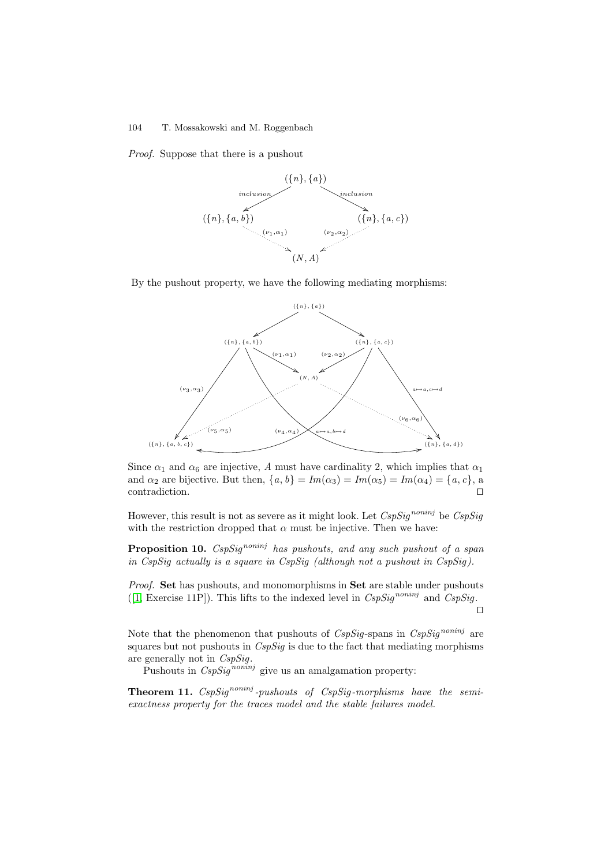Proof. Suppose that there is a pushout



By the pushout property, we have the following mediating morphisms:



Since  $\alpha_1$  and  $\alpha_6$  are injective, A must have cardinality 2, which implies that  $\alpha_1$ and  $\alpha_2$  are bijective. But then,  $\{a, b\} = Im(\alpha_3) = Im(\alpha_5) = Im(\alpha_4) = \{a, c\}$ , a contradiction.

However, this result is not as severe as it might look. Let  $CspSig^{noninj}$  be  $CspSig$ with the restriction dropped that  $\alpha$  must be injective. Then we have:

**Proposition 10.** CspSig<sup>noninj</sup> has pushouts, and any such pushout of a span in CspSig actually is a square in CspSig (although not a pushout in CspSig).

Proof. **Set** has pushouts, and monomorphisms in **Set** are stable under pushouts ([\[1,](#page-17-6) Exercise 11P]). This lifts to the indexed level in  $CspSig^{noninj}$  and  $CspSig$ .  $\Box$ 

Note that the phenomenon that pushouts of  $CspSig$ -spans in  $CspSig^{noninj}$  are squares but not pushouts in  $CspSig$  is due to the fact that mediating morphisms are generally not in CspSig.

<span id="page-12-0"></span>Pushouts in  $CspSig^{noninj}$  give us an amalgamation property:

**Theorem 11.** CspSig<sup>noninj</sup>-pushouts of CspSig-morphisms have the semiexactness property for the traces model and the stable failures model.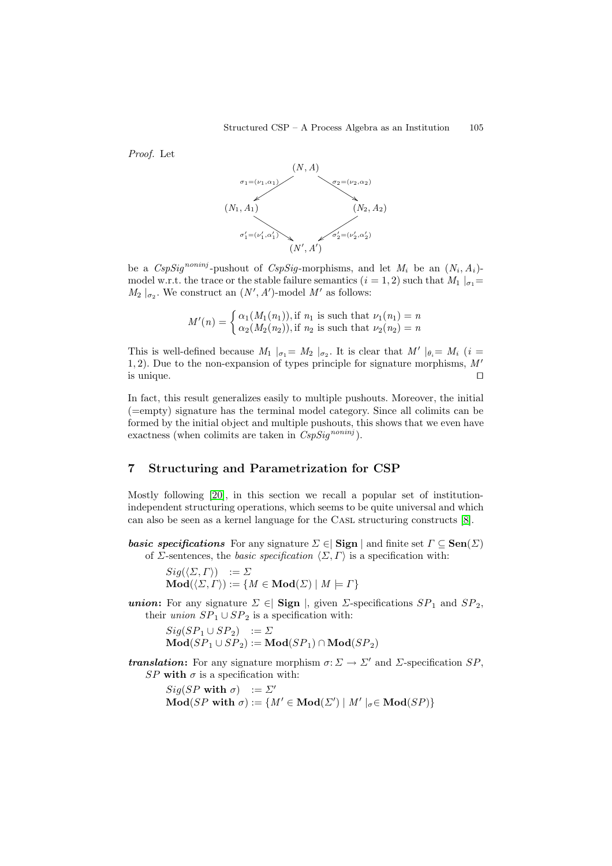Proof. Let



be a  $CspSig^{noninj}$ -pushout of  $CspSig$ -morphisms, and let  $M_i$  be an  $(N_i, A_i)$ model w.r.t. the trace or the stable failure semantics ( $i = 1, 2$ ) such that  $M_1 |_{\sigma_1} =$  $M_2 \mid_{\sigma_2}$ . We construct an  $(N', A')$ -model M' as follows:

 $M'(n) = \begin{cases} \alpha_1(M_1(n_1)), & \text{if } n_1 \text{ is such that } \nu_1(n_1) = n \\ \alpha_2(M_2(n_2)), & \text{if } n_2 \text{ is such that } \nu_2(n_2) = n \end{cases}$ 

This is well-defined because  $M_1 \mid_{\sigma_1} = M_2 \mid_{\sigma_2}$ . It is clear that  $M' \mid_{\theta_i} = M_i$  (i = 1, 2). Due to the non-expansion of types principle for signature morphisms,  $M'$ is unique.

In fact, this result generalizes easily to multiple pushouts. Moreover, the initial (=empty) signature has the terminal model category. Since all colimits can be formed by the initial object and multiple pushouts, this shows that we even have exactness (when colimits are taken in  $CspSig^{noninj}$ ).

# <span id="page-13-0"></span>**7 Structuring and Parametrization for CSP**

Mostly following [\[20\]](#page-18-9), in this section we recall a popular set of institutionindependent structuring operations, which seems to be quite universal and which can also be seen as a kernel language for the Casl structuring constructs [\[8\]](#page-18-5).

**basic specifications** For any signature  $\Sigma \in \mathbb{S}$  **Sign** | and finite set  $\Gamma \subseteq \mathbf{Sen}(\Sigma)$ of *Σ*-sentences, the *basic specification*  $\langle \Sigma, \Gamma \rangle$  is a specification with:

> $Sig(\langle \Sigma,\varGamma \rangle) \quad := \Sigma$  $\textbf{Mod}(\langle \Sigma, \Gamma \rangle) := \{ M \in \textbf{Mod}(\Sigma) \mid M \models \Gamma \}$

*union*: For any signature  $\Sigma \in$  Sign |, given  $\Sigma$ -specifications  $SP_1$  and  $SP_2$ , their union  $SP_1 \cup SP_2$  is a specification with:

> $Sig(SP_1 \cup SP_2)$  :=  $\Sigma$  $\mathbf{Mod}(SP_1 \cup SP_2) := \mathbf{Mod}(SP_1) \cap \mathbf{Mod}(SP_2)$

*translation*: For any signature morphism  $\sigma: \Sigma \to \Sigma'$  and  $\Sigma$ -specification SP,  $SP$  with  $\sigma$  is a specification with:

> $Sig(SP$  with  $\sigma)$  :=  $\Sigma'$  $\mathbf{Mod}(SP \text{ with } \sigma) := \{ M' \in \mathbf{Mod}(\Sigma') \mid M' \mid_{\sigma} \in \mathbf{Mod}(SP) \}$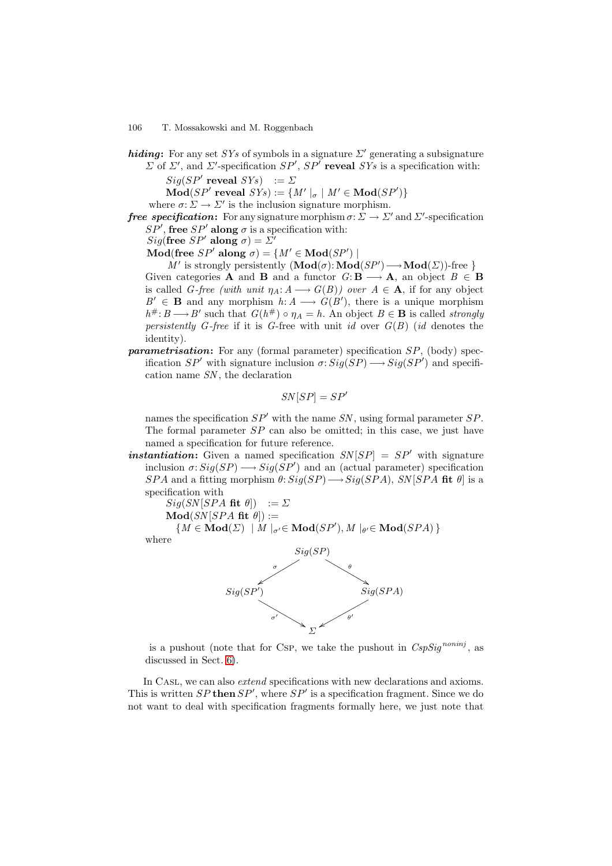*hiding*: For any set SYs of symbols in a signature  $\Sigma'$  generating a subsignature  $\Sigma$  of  $\Sigma'$ , and  $\Sigma'$ -specification  $SP'$ ,  $SP'$  **reveal**  $SYs$  is a specification with:

 $Sia(SP'$  **reveal**  $SYs$  :=  $\Sigma$ 

 $\mathbf{Mod}(SP' \textbf{ reveal } SYs) := \{ M' \mid_{\sigma} \mid M' \in \mathbf{Mod}(SP') \}$ 

where  $\sigma: \Sigma \to \Sigma'$  is the inclusion signature morphism.

- *free specification*: For any signature morphism  $\sigma \colon \Sigma \to \Sigma'$  and  $\Sigma'$ -specification  $SP'$ , free  $SP'$  along  $\sigma$  is a specification with:
	- $\overline{Sig}$ **(free**  $SP'$  **along**  $\sigma$ ) =  $\overline{\Sigma}$ <sup>7</sup>

 $\mathbf{Mod}(\mathbf{free}\;SP' \;\mathbf{along}\; \sigma) = \{M' \in \mathbf{Mod}(SP')\mid \sigma\}$ 

 $M'$  is strongly persistently  $(\textbf{Mod}(\sigma): \textbf{Mod}(SP') \longrightarrow \textbf{Mod}(\Sigma))$ -free } Given categories **A** and **B** and a functor  $G: \mathbf{B} \longrightarrow \mathbf{A}$ , an object  $B \in \mathbf{B}$ is called G-free (with unit  $\eta_A: A \longrightarrow G(B)$ ) over  $A \in \mathbf{A}$ , if for any object  $B' \in \mathbf{B}$  and any morphism  $h: A \longrightarrow G(B')$ , there is a unique morphism  $h^{\#}: B \longrightarrow B'$  such that  $G(h^{\#}) \circ \eta_A = h$ . An object  $B \in \mathbf{B}$  is called *strongly* persistently G-free if it is G-free with unit id over  $G(B)$  (id denotes the identity).

*parametrisation*: For any (formal parameter) specification SP, (body) specification  $SP'$  with signature inclusion  $\sigma: Sig(SP) \longrightarrow Sig(SP')$  and specification name SN , the declaration

$$
SN[SP] = SP'
$$

names the specification  $SP'$  with the name SN, using formal parameter SP. The formal parameter  $SP$  can also be omitted; in this case, we just have named a specification for future reference.

*instantiation*: Given a named specification  $SN[SP] = SP'$  with signature inclusion  $\sigma: Sig(SP) \longrightarrow Sig(SP')$  and an (actual parameter) specification SPA and a fitting morphism  $\theta: Sig(SP) \longrightarrow Sig(SPA)$ , SN [SPA **fit**  $\theta$ ] is a specification with

 $Sig(SN|SPA$  **fit**  $\theta$ ) :=  $\Sigma$  $\textbf{Mod}(SN|SPA \text{ fit } \theta) :=$ 

 $\{M \in \mathbf{Mod}(\Sigma) \mid M \mid_{\sigma'} \in \mathbf{Mod}(SP'), M \mid_{\theta'} \in \mathbf{Mod}(SPA) \}$ where

> $Sig(SP)$ σ  $\swarrow$  θ  $Sig(SP')$  $\sigma'$  $\overline{Sig(SPA)}$  $\theta'$ Σ

is a pushout (note that for Csp, we take the pushout in  $CspSig^{noninj}$ , as discussed in Sect. [6\)](#page-11-1).

In CASL, we can also *extend* specifications with new declarations and axioms. This is written  $SP$  **then**  $SP'$ , where  $SP'$  is a specification fragment. Since we do not want to deal with specification fragments formally here, we just note that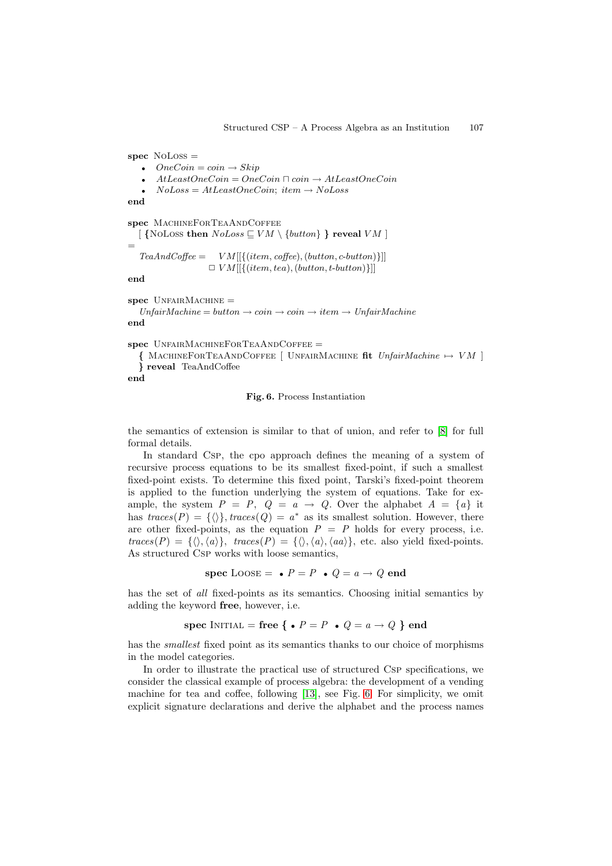```
spec NoLoss =
       OneCoin = coin \rightarrow SkipAtLeastOneCoin = OneCoin \sqcap coin \rightarrow AtLeastOneCoinNoLoss = AtLeastOneCoin; item \rightarrow NoLossend
spec MachineForTeaAndCoffee
  [ {NoLoss then NoLoss \subseteq VM \setminus \{button\}} reveal VM ]
=
   TeaAndCoffee = VM[[\{(item, coffee), (button, c-button)\}]]\Box VM[[{(item, tea), (button, t-button)}]]
end
spec UnfairMachine =
   \text{UnfairMachine} = \text{button} \rightarrow \text{coin} \rightarrow \text{coin} \rightarrow \text{item} \rightarrow \text{UnfairMachine}end
spec UnfairMachineForTeaAndCoffee =
```
 $\{$  MachineForTeaAndCoffee [ UnfairMachine **fit**  $UnfairMachine \rightarrow VM$  ] *}* **reveal** TeaAndCoffee

**end**

#### <span id="page-15-0"></span>**Fig. 6.** Process Instantiation

the semantics of extension is similar to that of union, and refer to [\[8\]](#page-18-5) for full formal details.

In standard Csp, the cpo approach defines the meaning of a system of recursive process equations to be its smallest fixed-point, if such a smallest fixed-point exists. To determine this fixed point, Tarski's fixed-point theorem is applied to the function underlying the system of equations. Take for example, the system  $P = P$ ,  $Q = a \rightarrow Q$ . Over the alphabet  $A = \{a\}$  it has  $traces(P) = {\{\rangle\}}, traces(Q) = a^*$  as its smallest solution. However, there are other fixed-points, as the equation  $P = P$  holds for every process, i.e.  $traces(P) = {\langle \langle \rangle, \langle a \rangle\}, trace(P) = {\langle \langle \rangle, \langle a \rangle}, \langle aa \rangle}, etc. also yield fixed-points.$ As structured Csp works with loose semantics,

**spec** LOOSE =  $\bullet$   $P = P \bullet Q = a \rightarrow Q$  **end** 

has the set of all fixed-points as its semantics. Choosing initial semantics by adding the keyword **free**, however, i.e.

**spec** INITIAL = **free**  $\{ \cdot \}$  **•**  $P = P \cdot Q = a \rightarrow Q$  } **end** 

has the smallest fixed point as its semantics thanks to our choice of morphisms in the model categories.

In order to illustrate the practical use of structured Csp specifications, we consider the classical example of process algebra: the development of a vending machine for tea and coffee, following [\[13\]](#page-18-0), see Fig. [6.](#page-15-0) For simplicity, we omit explicit signature declarations and derive the alphabet and the process names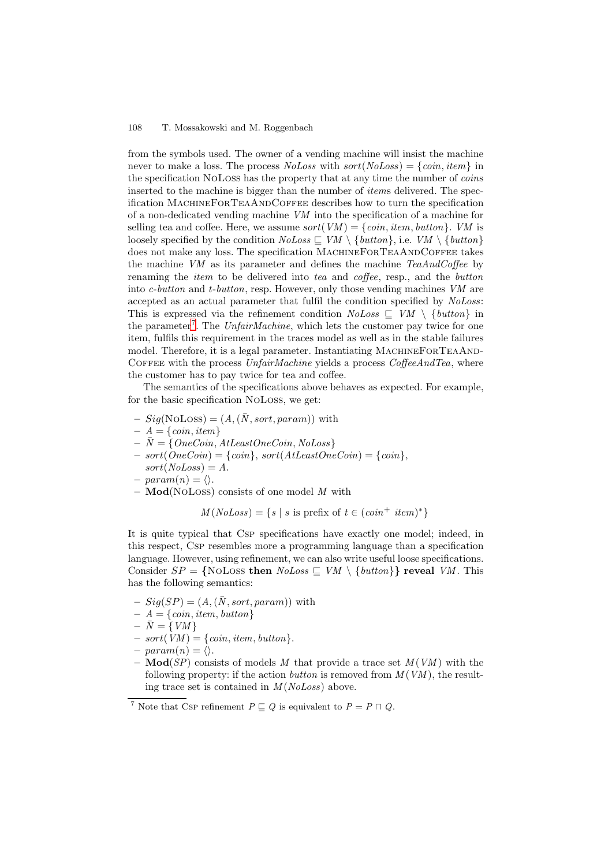from the symbols used. The owner of a vending machine will insist the machine never to make a loss. The process  $N_0Loss$  with  $sort(N_0Loss) = \{coin, item\}$  in the specification NoLoss has the property that at any time the number of coins inserted to the machine is bigger than the number of items delivered. The specification MachineForTeaAndCoffee describes how to turn the specification of a non-dedicated vending machine VM into the specification of a machine for selling tea and coffee. Here, we assume  $sort(VM) = \{coin, item, button\}$ . VM is loosely specified by the condition  $NoLoss \subseteq VM \setminus \{button\}$ , i.e.  $VM \setminus \{button\}$ does not make any loss. The specification MACHINEFORTEAANDCOFFEE takes the machine VM as its parameter and defines the machine TeaAndCoffee by renaming the *item* to be delivered into tea and coffee, resp., and the *button* into c-button and t-button, resp. However, only those vending machines VM are accepted as an actual parameter that fulfil the condition specified by NoLoss: This is expressed via the refinement condition  $N_0Loss \subseteq VM \setminus \{button\}$  in the parameter<sup>[7](#page-16-0)</sup>. The UnfairMachine, which lets the customer pay twice for one item, fulfils this requirement in the traces model as well as in the stable failures model. Therefore, it is a legal parameter. Instantiating MACHINEFORTEAAND-COFFEE with the process  $\text{UnfairMachine yields a process } \text{CoffeeAndTea}$ , where the customer has to pay twice for tea and coffee.

The semantics of the specifications above behaves as expected. For example, for the basic specification NoLoss, we get:

- $Sig(NoLoss) = (A, (\bar{N}, sort, param))$  with
- $A = \{coin, item\}$
- $-\bar{N} = \{OneCoin, AtLeastOneCoin, NoLoss\}$
- $sort(OneCoin) = {coin}, sort(AtLeastOneCoin) = {coin},$  $sort(NoLoss) = A.$
- $–param(n) = \langle \rangle.$
- **Mod**(NoLoss) consists of one model M with

 $M(NoLoss) = \{ s \mid s \text{ is prefix of } t \in (coin^+ item)^* \}$ 

It is quite typical that Csp specifications have exactly one model; indeed, in this respect, Csp resembles more a programming language than a specification language. However, using refinement, we can also write useful loose specifications. Consider  $SP = \{ \text{NoLoss then } \text{NoLoss} \sqsubset \text{VM} \setminus \{ \text{button} \} \}$  reveal VM. This has the following semantics:

- $Sig(SP) = (A, (\bar{N}, sort, param))$  with
- $A = \{coin, item, button\}$
- $\bar{N} = \{VM\}$
- $sort(VM) = {coin, item, button}.$
- $–param(n) = \langle \rangle$ .
- $-$  **Mod**( $\hat{SP}$ ) consists of models M that provide a trace set  $M(VM)$  with the following property: if the action *button* is removed from  $M(VM)$ , the resulting trace set is contained in  $M(NoLoss)$  above.

<span id="page-16-0"></span><sup>&</sup>lt;sup>7</sup> Note that Csp refinement  $P \sqsubseteq Q$  is equivalent to  $P = P \sqcap Q$ .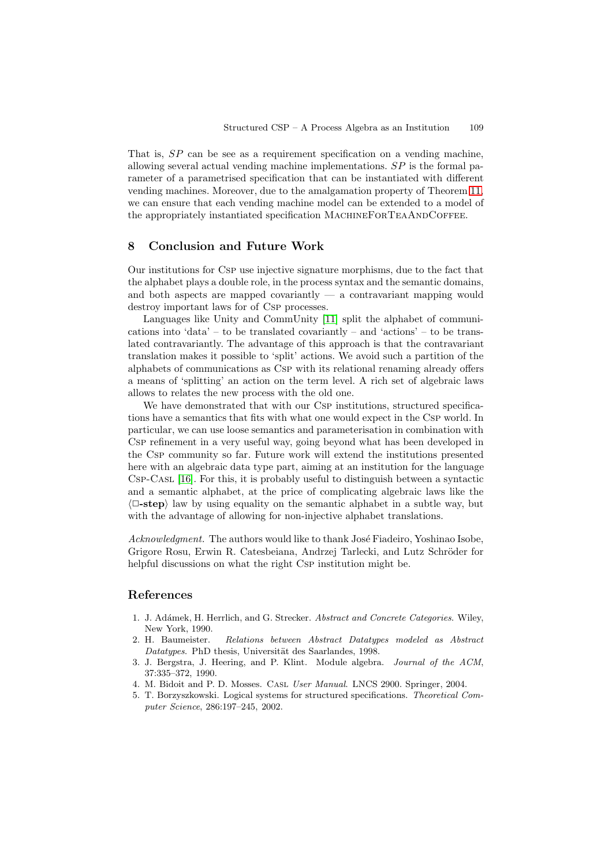That is, SP can be see as a requirement specification on a vending machine, allowing several actual vending machine implementations.  $SP$  is the formal parameter of a parametrised specification that can be instantiated with different vending machines. Moreover, due to the amalgamation property of Theorem [11,](#page-12-0) we can ensure that each vending machine model can be extended to a model of the appropriately instantiated specification MachineForTeaAndCoffee.

# <span id="page-17-2"></span>**8 Conclusion and Future Work**

Our institutions for Csp use injective signature morphisms, due to the fact that the alphabet plays a double role, in the process syntax and the semantic domains, and both aspects are mapped covariantly  $-$  a contravariant mapping would destroy important laws for of CsP processes.

Languages like Unity and CommUnity [\[11\]](#page-18-13) split the alphabet of communications into 'data' – to be translated covariantly – and 'actions' – to be translated contravariantly. The advantage of this approach is that the contravariant translation makes it possible to 'split' actions. We avoid such a partition of the alphabets of communications as Csp with its relational renaming already offers a means of 'splitting' an action on the term level. A rich set of algebraic laws allows to relates the new process with the old one.

We have demonstrated that with our Csp institutions, structured specifications have a semantics that fits with what one would expect in the Csp world. In particular, we can use loose semantics and parameterisation in combination with Csp refinement in a very useful way, going beyond what has been developed in the Csp community so far. Future work will extend the institutions presented here with an algebraic data type part, aiming at an institution for the language Csp-Casl [\[16\]](#page-18-14). For this, it is probably useful to distinguish between a syntactic and a semantic alphabet, at the price of complicating algebraic laws like the  $\langle \Box$ **-step** law by using equality on the semantic alphabet in a subtle way, but with the advantage of allowing for non-injective alphabet translations.

Acknowledgment. The authors would like to thank José Fiadeiro, Yoshinao Isobe, Grigore Rosu, Erwin R. Catesbeiana, Andrzej Tarlecki, and Lutz Schröder for helpful discussions on what the right CsP institution might be.

# <span id="page-17-6"></span><span id="page-17-1"></span>**References**

- 1. J. Adámek, H. Herrlich, and G. Strecker. Abstract and Concrete Categories. Wiley, New York, 1990.
- <span id="page-17-5"></span>2. H. Baumeister. Relations between Abstract Datatypes modeled as Abstract Datatypes. PhD thesis, Universität des Saarlandes, 1998.
- <span id="page-17-3"></span>3. J. Bergstra, J. Heering, and P. Klint. Module algebra. Journal of the ACM, 37:335–372, 1990.
- <span id="page-17-0"></span>4. M. Bidoit and P. D. Mosses. Casl User Manual. LNCS 2900. Springer, 2004.
- <span id="page-17-4"></span>5. T. Borzyszkowski. Logical systems for structured specifications. Theoretical Computer Science, 286:197–245, 2002.